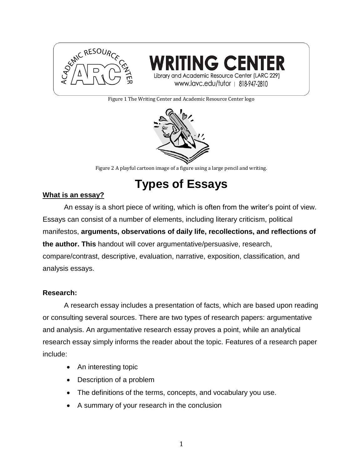



Figure 1 The Writing Center and Academic Resource Center logo



Figure 2 A playful cartoon image of a figure using a large pencil and writing.

**Types of Essays**

# **What is an essay?**

An essay is a short piece of writing, which is often from the writer's point of view. Essays can consist of a number of elements, including literary criticism, political manifestos, **arguments, observations of daily life, recollections, and reflections of the author. This** handout will cover argumentative/persuasive, research, compare/contrast, descriptive, evaluation, narrative, exposition, classification, and analysis essays.

# **Research:**

A research essay includes a presentation of facts, which are based upon reading or consulting several sources. There are two types of research papers: argumentative and analysis. An argumentative research essay proves a point, while an analytical research essay simply informs the reader about the topic. Features of a research paper include:

- An interesting topic
- Description of a problem
- The definitions of the terms, concepts, and vocabulary you use.
- A summary of your research in the conclusion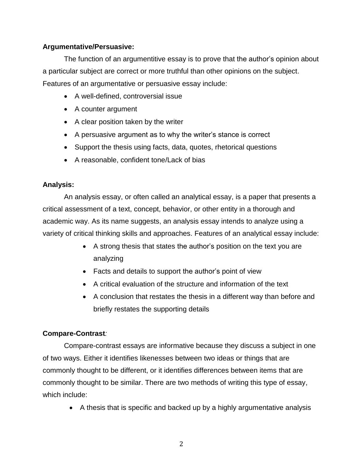## **Argumentative/Persuasive:**

The function of an argumentitive essay is to prove that the author's opinion about a particular subject are correct or more truthful than other opinions on the subject. Features of an argumentative or persuasive essay include:

- A well-defined, controversial issue
- A counter argument
- A clear position taken by the writer
- A persuasive argument as to why the writer's stance is correct
- Support the thesis using facts, data, quotes, rhetorical questions
- A reasonable, confident tone/Lack of bias

## **Analysis:**

An analysis essay, or often called an analytical essay, is a paper that presents a critical assessment of a text, concept, behavior, or other entity in a thorough and academic way. As its name suggests, an analysis essay intends to analyze using a variety of critical thinking skills and approaches. Features of an analytical essay include:

- A strong thesis that states the author's position on the text you are analyzing
- Facts and details to support the author's point of view
- A critical evaluation of the structure and information of the text
- A conclusion that restates the thesis in a different way than before and briefly restates the supporting details

# **Compare-Contrast***:*

Compare-contrast essays are informative because they discuss a subject in one of two ways. Either it identifies likenesses between two ideas or things that are commonly thought to be different, or it identifies differences between items that are commonly thought to be similar. There are two methods of writing this type of essay, which include:

A thesis that is specific and backed up by a highly argumentative analysis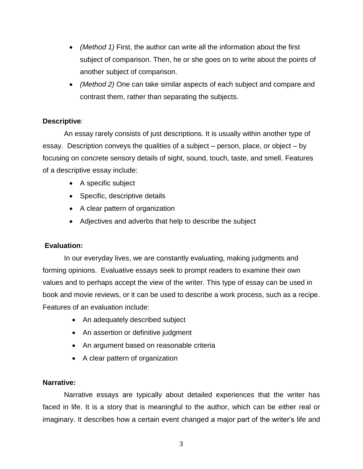- *(Method 1)* First, the author can write all the information about the first subject of comparison. Then, he or she goes on to write about the points of another subject of comparison.
- *(Method 2)* One can take similar aspects of each subject and compare and contrast them, rather than separating the subjects.

## **Descriptive***:*

An essay rarely consists of just descriptions. It is usually within another type of essay. Description conveys the qualities of a subject – person, place, or object – by focusing on concrete sensory details of sight, sound, touch, taste, and smell. Features of a descriptive essay include:

- A specific subject
- Specific, descriptive details
- A clear pattern of organization
- Adjectives and adverbs that help to describe the subject

# **Evaluation:**

In our everyday lives, we are constantly evaluating, making judgments and forming opinions. Evaluative essays seek to prompt readers to examine their own values and to perhaps accept the view of the writer. This type of essay can be used in book and movie reviews, or it can be used to describe a work process, such as a recipe. Features of an evaluation include:

- An adequately described subject
- An assertion or definitive judgment
- An argument based on reasonable criteria
- A clear pattern of organization

### **Narrative:**

Narrative essays are typically about detailed experiences that the writer has faced in life. It is a story that is meaningful to the author, which can be either real or imaginary. It describes how a certain event changed a major part of the writer's life and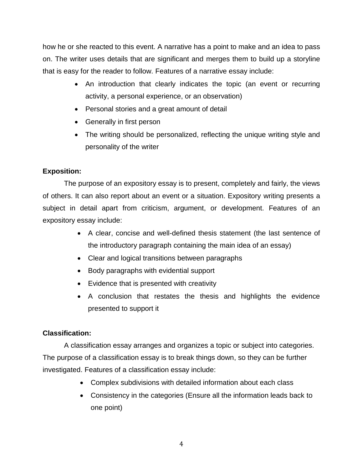how he or she reacted to this event. A narrative has a point to make and an idea to pass on. The writer uses details that are significant and merges them to build up a storyline that is easy for the reader to follow. Features of a narrative essay include:

- An introduction that clearly indicates the topic (an event or recurring activity, a personal experience, or an observation)
- Personal stories and a great amount of detail
- Generally in first person
- The writing should be personalized, reflecting the unique writing style and personality of the writer

# **Exposition:**

The purpose of an expository essay is to present, completely and fairly, the views of others. It can also report about an event or a situation. Expository writing presents a subject in detail apart from criticism, argument, or development. Features of an expository essay include:

- A clear, concise and well-defined thesis statement (the last sentence of the introductory paragraph containing the main idea of an essay)
- Clear and logical transitions between paragraphs
- Body paragraphs with evidential support
- Evidence that is presented with creativity
- A conclusion that restates the thesis and highlights the evidence presented to support it

# **Classification:**

A classification essay arranges and organizes a topic or subject into categories. The purpose of a classification essay is to break things down, so they can be further investigated. Features of a classification essay include:

- Complex subdivisions with detailed information about each class
- Consistency in the categories (Ensure all the information leads back to one point)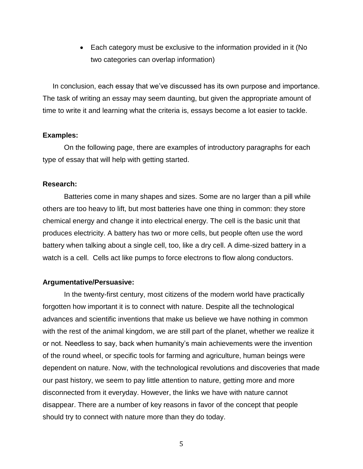Each category must be exclusive to the information provided in it (No two categories can overlap information)

 In conclusion, each essay that we've discussed has its own purpose and importance. The task of writing an essay may seem daunting, but given the appropriate amount of time to write it and learning what the criteria is, essays become a lot easier to tackle.

#### **Examples:**

On the following page, there are examples of introductory paragraphs for each type of essay that will help with getting started.

### **Research:**

Batteries come in many shapes and sizes. Some are no larger than a pill while others are too heavy to lift, but most batteries have one thing in common: they store chemical energy and change it into electrical energy. The cell is the basic unit that produces electricity. A battery has two or more cells, but people often use the word battery when talking about a single cell, too, like a dry cell. A dime-sized battery in a watch is a cell. Cells act like pumps to force electrons to flow along conductors.

#### **Argumentative/Persuasive:**

In the twenty-first century, most citizens of the modern world have practically forgotten how important it is to connect with nature. Despite all the technological advances and scientific inventions that make us believe we have nothing in common with the rest of the animal kingdom, we are still part of the planet, whether we realize it or not. Needless to say, back when humanity's main achievements were the invention of the round wheel, or specific tools for farming and agriculture, human beings were dependent on nature. Now, with the technological revolutions and discoveries that made our past history, we seem to pay little attention to nature, getting more and more disconnected from it everyday. However, the links we have with nature cannot disappear. There are a number of key reasons in favor of the concept that people should try to connect with nature more than they do today.

5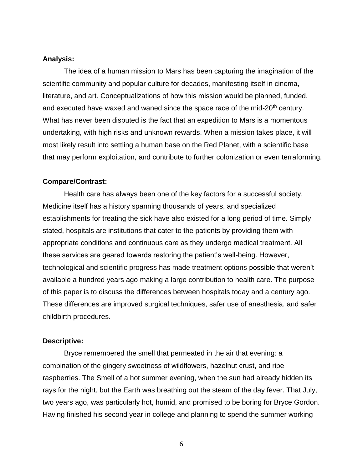### **Analysis:**

The idea of a human mission to Mars has been capturing the imagination of the scientific community and popular culture for decades, manifesting itself in cinema, literature, and art. Conceptualizations of how this mission would be planned, funded, and executed have waxed and waned since the space race of the mid-20<sup>th</sup> century. What has never been disputed is the fact that an expedition to Mars is a momentous undertaking, with high risks and unknown rewards. When a mission takes place, it will most likely result into settling a human base on the Red Planet, with a scientific base that may perform exploitation, and contribute to further colonization or even terraforming.

#### **Compare/Contrast:**

Health care has always been one of the key factors for a successful society. Medicine itself has a history spanning thousands of years, and specialized establishments for treating the sick have also existed for a long period of time. Simply stated, hospitals are institutions that cater to the patients by providing them with appropriate conditions and continuous care as they undergo medical treatment. All these services are geared towards restoring the patient's well-being. However, technological and scientific progress has made treatment options possible that weren't available a hundred years ago making a large contribution to health care. The purpose of this paper is to discuss the differences between hospitals today and a century ago. These differences are improved surgical techniques, safer use of anesthesia, and safer childbirth procedures.

#### **Descriptive:**

Bryce remembered the smell that permeated in the air that evening: a combination of the gingery sweetness of wildflowers, hazelnut crust, and ripe raspberries. The Smell of a hot summer evening, when the sun had already hidden its rays for the night, but the Earth was breathing out the steam of the day fever. That July, two years ago, was particularly hot, humid, and promised to be boring for Bryce Gordon. Having finished his second year in college and planning to spend the summer working

6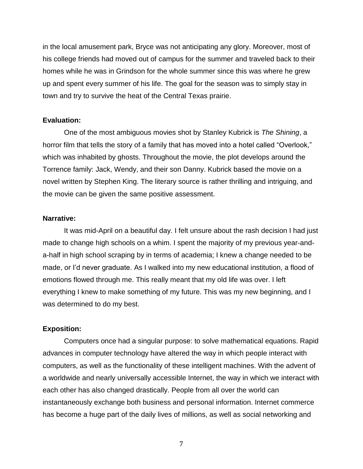in the local amusement park, Bryce was not anticipating any glory. Moreover, most of his college friends had moved out of campus for the summer and traveled back to their homes while he was in Grindson for the whole summer since this was where he grew up and spent every summer of his life. The goal for the season was to simply stay in town and try to survive the heat of the Central Texas prairie.

### **Evaluation:**

One of the most ambiguous movies shot by Stanley Kubrick is *The Shining*, a horror film that tells the story of a family that has moved into a hotel called "Overlook," which was inhabited by ghosts. Throughout the movie, the plot develops around the Torrence family: Jack, Wendy, and their son Danny. Kubrick based the movie on a novel written by Stephen King. The literary source is rather thrilling and intriguing, and the movie can be given the same positive assessment.

### **Narrative:**

It was mid-April on a beautiful day. I felt unsure about the rash decision I had just made to change high schools on a whim. I spent the majority of my previous year-anda-half in high school scraping by in terms of academia; I knew a change needed to be made, or I'd never graduate. As I walked into my new educational institution, a flood of emotions flowed through me. This really meant that my old life was over. I left everything I knew to make something of my future. This was my new beginning, and I was determined to do my best.

### **Exposition:**

Computers once had a singular purpose: to solve mathematical equations. Rapid advances in computer technology have altered the way in which people interact with computers, as well as the functionality of these intelligent machines. With the advent of a worldwide and nearly universally accessible Internet, the way in which we interact with each other has also changed drastically. People from all over the world can instantaneously exchange both business and personal information. Internet commerce has become a huge part of the daily lives of millions, as well as social networking and

7